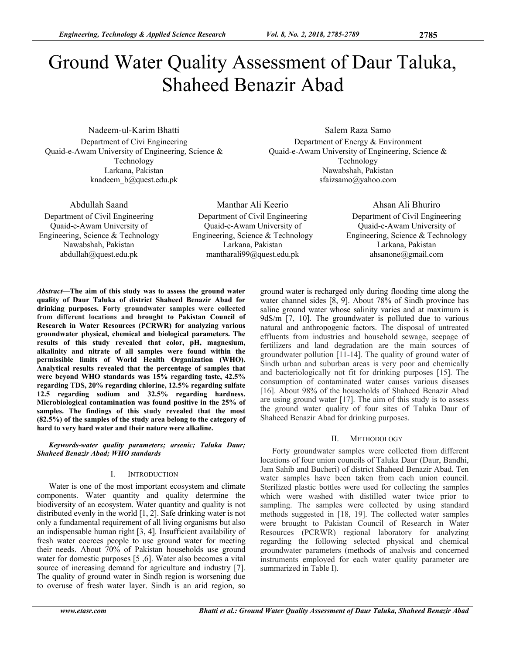# Ground Water Quality Assessment of Daur Taluka, Shaheed Benazir Abad

Nadeem-ul-Karim Bhatti Department of Civi Engineering Quaid-e-Awam University of Engineering, Science & Technology Larkana, Pakistan knadeem\_b@quest.edu.pk

Salem Raza Samo Department of Energy & Environment Quaid-e-Awam University of Engineering, Science & Technology Nawabshah, Pakistan sfaizsamo@yahoo.com

Abdullah Saand

Department of Civil Engineering Quaid-e-Awam University of Engineering, Science & Technology Nawabshah, Pakistan abdullah@quest.edu.pk

Manthar Ali Keerio Department of Civil Engineering Quaid-e-Awam University of Engineering, Science & Technology Larkana, Pakistan mantharali99@quest.edu.pk

Ahsan Ali Bhuriro Department of Civil Engineering Quaid-e-Awam University of Engineering, Science & Technology Larkana, Pakistan ahsanone@gmail.com

*Abstract***—The aim of this study was to assess the ground water quality of Daur Taluka of district Shaheed Benazir Abad for drinking purposes. Forty groundwater samples were collected from different locations and brought to Pakistan Council of Research in Water Resources (PCRWR) for analyzing various groundwater physical, chemical and biological parameters. The results of this study revealed that color, pH, magnesium, alkalinity and nitrate of all samples were found within the permissible limits of World Health Organization (WHO). Analytical results revealed that the percentage of samples that were beyond WHO standards was 15% regarding taste, 42.5% regarding TDS, 20% regarding chlorine, 12.5% regarding sulfate 12.5 regarding sodium and 32.5% regarding hardness. Microbiological contamination was found positive in the 25% of samples. The findings of this study revealed that the most (82.5%) of the samples of the study area belong to the category of hard to very hard water and their nature were alkaline.** 

*Keywords-water quality parameters; arsenic; Taluka Daur; Shaheed Benazir Abad; WHO standards* 

## I. INTRODUCTION

Water is one of the most important ecosystem and climate components. Water quantity and quality determine the biodiversity of an ecosystem. Water quantity and quality is not distributed evenly in the world [1, 2]. Safe drinking water is not only a fundamental requirement of all living organisms but also an indispensable human right [3, 4]. Insufficient availability of fresh water coerces people to use ground water for meeting their needs. About 70% of Pakistan households use ground water for domestic purposes [5 ,6]. Water also becomes a vital source of increasing demand for agriculture and industry [7]. The quality of ground water in Sindh region is worsening due to overuse of fresh water layer. Sindh is an arid region, so

ground water is recharged only during flooding time along the water channel sides [8, 9]. About 78% of Sindh province has saline ground water whose salinity varies and at maximum is 9dS/m [7, 10]. The groundwater is polluted due to various natural and anthropogenic factors. The disposal of untreated effluents from industries and household sewage, seepage of fertilizers and land degradation are the main sources of groundwater pollution [11-14]. The quality of ground water of Sindh urban and suburban areas is very poor and chemically and bacteriologically not fit for drinking purposes [15]. The consumption of contaminated water causes various diseases [16]. About 98% of the households of Shaheed Benazir Abad are using ground water [17]. The aim of this study is to assess the ground water quality of four sites of Taluka Daur of Shaheed Benazir Abad for drinking purposes.

## II. METHODOLOGY

Forty groundwater samples were collected from different locations of four union councils of Taluka Daur (Daur, Bandhi, Jam Sahib and Bucheri) of district Shaheed Benazir Abad. Ten water samples have been taken from each union council. Sterilized plastic bottles were used for collecting the samples which were washed with distilled water twice prior to sampling. The samples were collected by using standard methods suggested in [18, 19]. The collected water samples were brought to Pakistan Council of Research in Water Resources (PCRWR) regional laboratory for analyzing regarding the following selected physical and chemical groundwater parameters (methods of analysis and concerned instruments employed for each water quality parameter are summarized in Table I).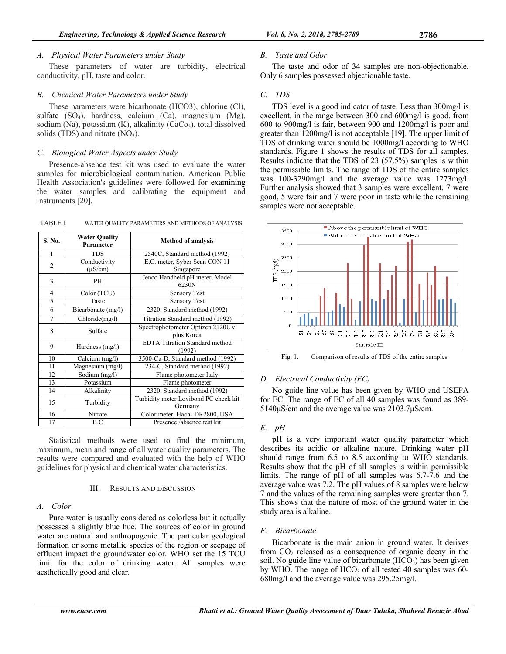#### *A. Physical Water Parameters under Study*

These parameters of water are turbidity, electrical conductivity, pH, taste and color.

#### *B. Chemical Water Parameters under Study*

These parameters were bicarbonate (HCO3), chlorine (Cl), sulfate  $(SO_4)$ , hardness, calcium  $(Ca)$ , magnesium  $(Mg)$ , sodium (Na), potassium (K), alkalinity (CaCo<sub>3</sub>), total dissolved solids (TDS) and nitrate  $(NO<sub>3</sub>)$ .

#### *C. Biological Water Aspects under Study*

Presence-absence test kit was used to evaluate the water samples for microbiological contamination. American Public Health Association's guidelines were followed for examining the water samples and calibrating the equipment and instruments [20].

TABLE I. WATER QUALITY PARAMETERS AND METHODS OF ANALYSIS

| S. No.         | <b>Water Quality</b><br>Parameter     | <b>Method of analysis</b>                        |
|----------------|---------------------------------------|--------------------------------------------------|
| 1              | <b>TDS</b>                            | 2540C, Standard method (1992)                    |
| $\overline{2}$ | Conductivity<br>$(\mu S/cm)$          | E.C. meter, Syber Scan CON 11<br>Singapore       |
| 3              | PН                                    | Jenco Handheld pH meter, Model<br>6230N          |
| $\overline{4}$ | Color (TCU)                           | <b>Sensory Test</b>                              |
| 5              | Taste                                 | <b>Sensory Test</b>                              |
| 6              | Bicarbonate (mg/l)                    | 2320, Standard method (1992)                     |
| 7              | Chloride(mg/l)                        | Titration Standard method (1992)                 |
| 8              | Sulfate                               | Spectrophotometer Optizen 2120UV<br>plus Korea   |
| 9              | Hardness (mg/l)                       | <b>EDTA</b> Titration Standard method<br>(1992)  |
| 10             | Calcium (mg/l)                        | 3500-Ca-D, Standard method (1992)                |
| 11             | $\overline{\text{M}}$ agnesium (mg/l) | 234-C, Standard method (1992)                    |
| 12             | Sodium (mg/l)                         | Flame photometer Italy                           |
| 13             | Potassium                             | Flame photometer                                 |
| 14             | Alkalinity                            | 2320, Standard method (1992)                     |
| 15             | Turbidity                             | Turbidity meter Lovibond PC check kit<br>Germany |
| 16             | Nitrate                               | Colorimeter, Hach-DR2800, USA                    |
| 17             | B.C                                   | Presence /absence test kit                       |

Statistical methods were used to find the minimum, maximum, mean and range of all water quality parameters. The results were compared and evaluated with the help of WHO guidelines for physical and chemical water characteristics.

#### III. RESULTS AND DISCUSSION

#### *A. Color*

Pure water is usually considered as colorless but it actually possesses a slightly blue hue. The sources of color in ground water are natural and anthropogenic. The particular geological formation or some metallic species of the region or seepage of effluent impact the groundwater color. WHO set the 15 TCU limit for the color of drinking water. All samples were aesthetically good and clear.

#### *B. Taste and Odor*

The taste and odor of 34 samples are non-objectionable. Only 6 samples possessed objectionable taste.

## *C. TDS*

TDS level is a good indicator of taste. Less than 300mg/l is excellent, in the range between 300 and 600mg/l is good, from 600 to 900mg/l is fair, between 900 and 1200mg/l is poor and greater than 1200mg/l is not acceptable [19]. The upper limit of TDS of drinking water should be 1000mg/l according to WHO standards. Figure 1 shows the results of TDS for all samples. Results indicate that the TDS of 23 (57.5%) samples is within the permissible limits. The range of TDS of the entire samples was 100-3290mg/l and the average value was 1273mg/l. Further analysis showed that 3 samples were excellent, 7 were good, 5 were fair and 7 were poor in taste while the remaining samples were not acceptable.



Fig. 1. Comparison of results of TDS of the entire samples

### *D. Electrical Conductivity (EC)*

No guide line value has been given by WHO and USEPA for EC. The range of EC of all 40 samples was found as 389- 5140μS/cm and the average value was 2103.7μS/cm.

#### *E. pH*

pH is a very important water quality parameter which describes its acidic or alkaline nature. Drinking water pH should range from 6.5 to 8.5 according to WHO standards. Results show that the pH of all samples is within permissible limits. The range of pH of all samples was 6.7-7.6 and the average value was 7.2. The pH values of 8 samples were below 7 and the values of the remaining samples were greater than 7. This shows that the nature of most of the ground water in the study area is alkaline.

## *F. Bicarbonate*

Bicarbonate is the main anion in ground water. It derives from  $CO<sub>2</sub>$  released as a consequence of organic decay in the soil. No guide line value of bicarbonate  $(HCO<sub>3</sub>)$  has been given by WHO. The range of  $HCO<sub>3</sub>$  of all tested 40 samples was 60-680mg/l and the average value was 295.25mg/l.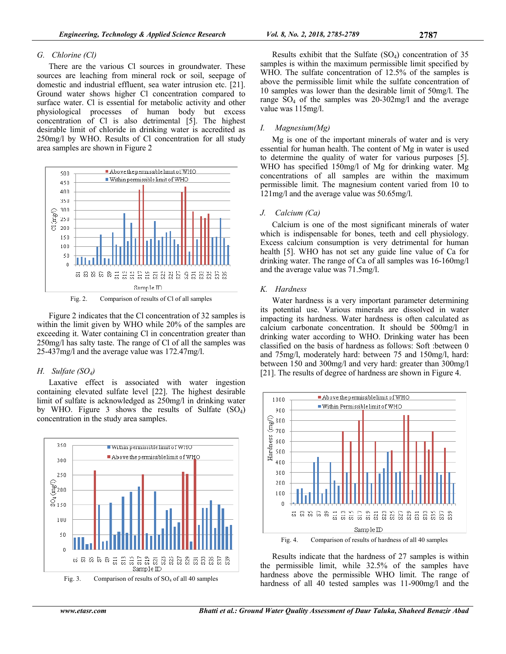#### *G. Chlorine (Cl)*

There are the various Cl sources in groundwater. These sources are leaching from mineral rock or soil, seepage of domestic and industrial effluent, sea water intrusion etc. [21]. Ground water shows higher Cl concentration compared to surface water. Cl is essential for metabolic activity and other physiological processes of human body but excess concentration of Cl is also detrimental [5]. The highest desirable limit of chloride in drinking water is accredited as 250mg/l by WHO. Results of Cl concentration for all study area samples are shown in Figure 2



Fig. 2. Comparison of results of Cl of all samples

Figure 2 indicates that the Cl concentration of 32 samples is within the limit given by WHO while 20% of the samples are exceeding it. Water containing Cl in concentration greater than 250mg/l has salty taste. The range of Cl of all the samples was 25-437mg/l and the average value was 172.47mg/l.

### *H. Sulfate* (SO<sub>4</sub>)

Laxative effect is associated with water ingestion containing elevated sulfate level [22]. The highest desirable limit of sulfate is acknowledged as 250mg/l in drinking water by WHO. Figure 3 shows the results of Sulfate  $(SO<sub>4</sub>)$ concentration in the study area samples.





Results exhibit that the Sulfate  $(SO<sub>4</sub>)$  concentration of 35 samples is within the maximum permissible limit specified by WHO. The sulfate concentration of 12.5% of the samples is above the permissible limit while the sulfate concentration of 10 samples was lower than the desirable limit of 50mg/l. The range  $SO_4$  of the samples was 20-302mg/l and the average value was 115mg/l.

#### *I. Magnesium(Mg)*

Mg is one of the important minerals of water and is very essential for human health. The content of Mg in water is used to determine the quality of water for various purposes [5]. WHO has specified 150mg/l of Mg for drinking water. Mg concentrations of all samples are within the maximum permissible limit. The magnesium content varied from 10 to 121mg/l and the average value was 50.65mg/l.

#### *J. Calcium (Ca)*

Calcium is one of the most significant minerals of water which is indispensable for bones, teeth and cell physiology. Excess calcium consumption is very detrimental for human health [5]. WHO has not set any guide line value of Ca for drinking water. The range of Ca of all samples was 16-160mg/l and the average value was 71.5mg/l.

#### *K. Hardness*

Water hardness is a very important parameter determining its potential use. Various minerals are dissolved in water impacting its hardness. Water hardness is often calculated as calcium carbonate concentration. It should be 500mg/l in drinking water according to WHO. Drinking water has been classified on the basis of hardness as follows: Soft :between 0 and 75mg/l, moderately hard: between 75 and 150mg/l, hard: between 150 and 300mg/l and very hard: greater than 300mg/l [21]. The results of degree of hardness are shown in Figure 4.



Results indicate that the hardness of 27 samples is within the permissible limit, while 32.5% of the samples have hardness above the permissible WHO limit. The range of hardness of all 40 tested samples was 11-900mg/l and the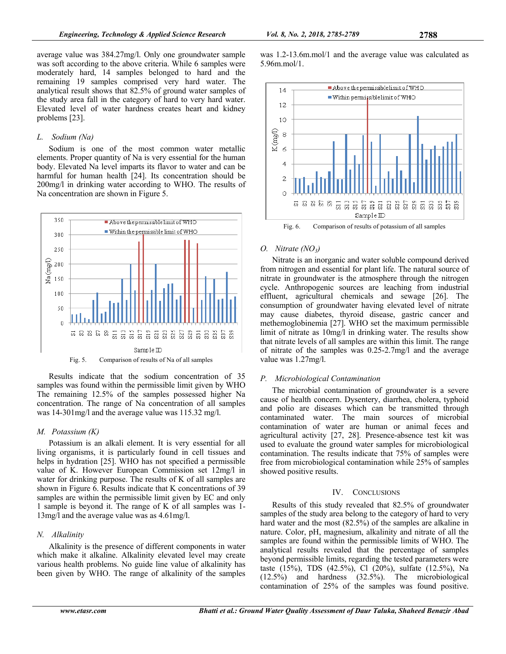average value was 384.27mg/l. Only one groundwater sample was soft according to the above criteria. While 6 samples were moderately hard, 14 samples belonged to hard and the remaining 19 samples comprised very hard water. The analytical result shows that 82.5% of ground water samples of the study area fall in the category of hard to very hard water. Elevated level of water hardness creates heart and kidney problems [23].

#### *L. Sodium (Na)*

Sodium is one of the most common water metallic elements. Proper quantity of Na is very essential for the human body. Elevated Na level imparts its flavor to water and can be harmful for human health [24]. Its concentration should be 200mg/l in drinking water according to WHO. The results of Na concentration are shown in Figure 5.



Fig. 5. Comparison of results of Na of all samples

Results indicate that the sodium concentration of 35 samples was found within the permissible limit given by WHO The remaining 12.5% of the samples possessed higher Na concentration. The range of Na concentration of all samples was 14-301mg/l and the average value was 115.32 mg/l.

#### *M. Potassium (K)*

Potassium is an alkali element. It is very essential for all living organisms, it is particularly found in cell tissues and helps in hydration [25]. WHO has not specified a permissible value of K. However European Commission set 12mg/l in water for drinking purpose. The results of K of all samples are shown in Figure 6. Results indicate that K concentrations of 39 samples are within the permissible limit given by EC and only 1 sample is beyond it. The range of K of all samples was 1- 13mg/l and the average value was as 4.61mg/l.

#### *N. Alkalinity*

Alkalinity is the presence of different components in water which make it alkaline. Alkalinity elevated level may create various health problems. No guide line value of alkalinity has been given by WHO. The range of alkalinity of the samples



Fig. 6. Comparison of results of potassium of all samples

#### *O. Nitrate (NO3)*

Nitrate is an inorganic and water soluble compound derived from nitrogen and essential for plant life. The natural source of nitrate in groundwater is the atmosphere through the nitrogen cycle. Anthropogenic sources are leaching from industrial effluent, agricultural chemicals and sewage [26]. The consumption of groundwater having elevated level of nitrate may cause diabetes, thyroid disease, gastric cancer and methemoglobinemia [27]. WHO set the maximum permissible limit of nitrate as 10mg/l in drinking water. The results show that nitrate levels of all samples are within this limit. The range of nitrate of the samples was 0.25-2.7mg/l and the average value was 1.27mg/l.

### *P. Microbiological Contamination*

The microbial contamination of groundwater is a severe cause of health concern. Dysentery, diarrhea, cholera, typhoid and polio are diseases which can be transmitted through contaminated water. The main sources of microbial contamination of water are human or animal feces and agricultural activity [27, 28]. Presence-absence test kit was used to evaluate the ground water samples for microbiological contamination. The results indicate that 75% of samples were free from microbiological contamination while 25% of samples showed positive results.

#### IV. CONCLUSIONS

Results of this study revealed that 82.5% of groundwater samples of the study area belong to the category of hard to very hard water and the most (82.5%) of the samples are alkaline in nature. Color, pH, magnesium, alkalinity and nitrate of all the samples are found within the permissible limits of WHO. The analytical results revealed that the percentage of samples beyond permissible limits, regarding the tested parameters were taste (15%), TDS (42.5%), Cl (20%), sulfate (12.5%), Na (12.5%) and hardness (32.5%). The microbiological contamination of 25% of the samples was found positive.